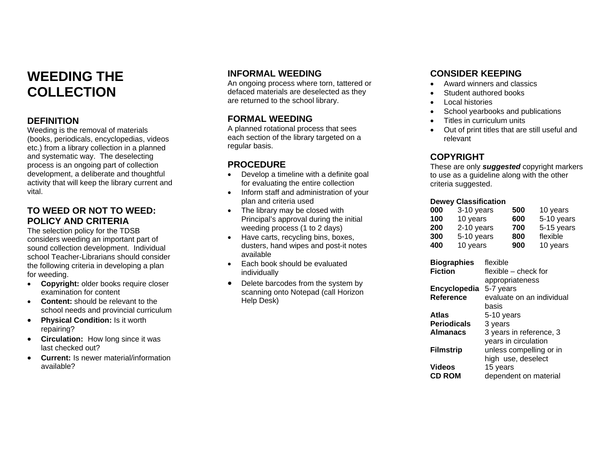### **WEEDING THECOLLECTION**

#### **DEFINITION**

Weeding is the removal of materials (books, periodicals, encyclopedias, videos etc.) from a library collection in a planned and systematic way. The deselecting process is an ongoing part of collection development, a deliberate and thoughtful activity that will keep the library current and vital.

#### **TO WEED OR NOT TO WEED:POLICY AND CRITERIA**

The selection policy for the TDSB considers weeding an important part of sound collection development. Individual school Teacher-Librarians should considerthe following criteria in developing a plan for weeding.

- **Copyright:** older books require closer examination for content
- **Content:** should be relevant to theschool needs and provincial curriculum
- • **Physical Condition:** Is it worth repairing?
- **Circulation:** How long since it was last checked out?
- • **Current:** Is newer material/informationavailable?

#### **INFORMAL WEEDING**

An ongoing process where torn, tattered or defaced materials are deselected as they are returned to the school library.

#### **FORMAL WEEDING**

A planned rotational process that sees each section of the library targeted on a regular basis.

#### **PROCEDURE**

- Develop a timeline with a definite goal for evaluating the entire collection
- Inform staff and administration of your plan and criteria used
- The library may be closed with Principal's approval during the initial weeding process (1 to 2 days)
- Have carts, recycling bins, boxes, dusters, hand wipes and post-it notes available
- Each book should be evaluatedindividually
- $\bullet$  Delete barcodes from the system by scanning onto Notepad (call Horizon Help Desk)

#### **CONSIDER KEEPING**

- Award winners and classics
- Student authored books
- Local histories
- School yearbooks and publications
- Titles in curriculum units
- Out of print titles that are still useful and relevant

### **COPYRIGHT**

These are only *suggested* copyright markers to use as a guideline along with the other criteria suggested.

#### **Dewey Classification**

| 000 | 3-10 years | 500 | 10 years   |
|-----|------------|-----|------------|
| 100 | 10 years   | 600 | 5-10 years |
| 200 | 2-10 years | 700 | 5-15 years |
| 300 | 5-10 years | 800 | flexible   |
| 400 | 10 years   | 900 | 10 years   |

| <b>Biographies</b> | flexible                  |
|--------------------|---------------------------|
| <b>Fiction</b>     | flexible – check for      |
|                    | appropriateness           |
| Encyclopedia       | 5-7 years                 |
| Reference          | evaluate on an individual |
|                    | basis                     |
| Atlas              | 5-10 years                |
| <b>Periodicals</b> | 3 years                   |
| <b>Almanacs</b>    | 3 years in reference, 3   |
|                    | years in circulation      |
| <b>Filmstrip</b>   | unless compelling or in   |
|                    | high use, deselect        |
| <b>Videos</b>      | 15 years                  |
| <b>CD ROM</b>      | dependent on material     |
|                    |                           |